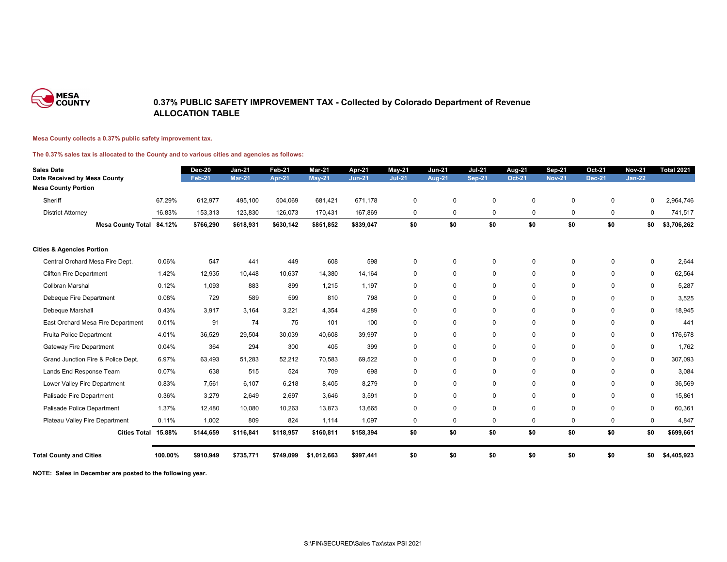

### **0.37% PUBLIC SAFETY IMPROVEMENT TAX - Collected by Colorado Department of Revenue ALLOCATION TABLE**

#### **Mesa County collects a 0.37% public safety improvement tax.**

#### **The 0.37% sales tax is allocated to the County and to various cities and agencies as follows:**

| <b>Sales Date</b>                    |         | <b>Dec-20</b> | <b>Jan-21</b> | <b>Feb-21</b> | <b>Mar-21</b> | Apr-21        | $May-21$      | <b>Jun-21</b> | <b>Jul-21</b> | <b>Aug-21</b> | <b>Sep-21</b>  | <b>Oct-21</b> | <b>Nov-21</b> | <b>Total 2021</b> |
|--------------------------------------|---------|---------------|---------------|---------------|---------------|---------------|---------------|---------------|---------------|---------------|----------------|---------------|---------------|-------------------|
| Date Received by Mesa County         |         | <b>Feb-21</b> | <b>Mar-21</b> | <b>Apr-21</b> | <b>May-21</b> | <b>Jun-21</b> | <b>Jul-21</b> | <b>Aug-21</b> | <b>Sep-21</b> | <b>Oct-21</b> | <b>Nov-21</b>  | <b>Dec-21</b> | <b>Jan-22</b> |                   |
| <b>Mesa County Portion</b>           |         |               |               |               |               |               |               |               |               |               |                |               |               |                   |
| Sheriff                              | 67.29%  | 612,977       | 495,100       | 504,069       | 681,421       | 671,178       | $\mathbf 0$   | $\mathbf 0$   | $\pmb{0}$     | $\pmb{0}$     | $\Omega$       | $\mathbf 0$   | 0             | 2,964,746         |
| <b>District Attorney</b>             | 16.83%  | 153,313       | 123,830       | 126,073       | 170,431       | 167,869       | $\mathbf{0}$  | $\mathbf 0$   | $\mathbf 0$   | $\mathbf 0$   | $\mathbf 0$    | $\mathbf 0$   | 0             | 741,517           |
| Mesa County Total 84.12%             |         | \$766,290     | \$618,931     | \$630,142     | \$851,852     | \$839,047     | \$0           | \$0           | \$0           | \$0           | \$0            | \$0           | \$0           | \$3,706,262       |
| <b>Cities &amp; Agencies Portion</b> |         |               |               |               |               |               |               |               |               |               |                |               |               |                   |
| Central Orchard Mesa Fire Dept.      | 0.06%   | 547           | 441           | 449           | 608           | 598           | $\mathbf 0$   | $\mathbf 0$   | $\mathbf 0$   | $\mathbf 0$   | $\Omega$       | $\mathbf 0$   | $\mathbf 0$   | 2,644             |
| <b>Clifton Fire Department</b>       | 1.42%   | 12,935        | 10,448        | 10,637        | 14,380        | 14,164        | $\mathbf 0$   | $\mathbf 0$   | $\mathbf 0$   | $\mathbf 0$   | $\mathbf 0$    | $\mathbf 0$   | $\mathbf 0$   | 62,564            |
| Collbran Marshal                     | 0.12%   | 1,093         | 883           | 899           | 1,215         | 1,197         | $\mathbf 0$   | $\mathbf 0$   | $\mathbf 0$   | $\mathbf 0$   | $\mathbf 0$    | $\mathbf 0$   | $\mathbf 0$   | 5,287             |
| Debeque Fire Department              | 0.08%   | 729           | 589           | 599           | 810           | 798           | $\mathbf 0$   | $\mathbf 0$   | $\mathbf 0$   | $\mathbf 0$   | $\mathbf 0$    | $\mathbf 0$   | $\mathbf 0$   | 3,525             |
| Debeque Marshall                     | 0.43%   | 3,917         | 3,164         | 3,221         | 4,354         | 4,289         | $\mathbf 0$   | $\mathbf 0$   | $\mathbf 0$   | $\mathbf 0$   | $\mathbf 0$    | $\mathbf 0$   | $\mathbf 0$   | 18,945            |
| East Orchard Mesa Fire Department    | 0.01%   | 91            | 74            | 75            | 101           | 100           | 0             | $\mathbf 0$   | $\mathbf 0$   | $\mathbf 0$   | $\mathbf 0$    | $\mathbf{0}$  | $\mathbf 0$   | 441               |
| Fruita Police Department             | 4.01%   | 36,529        | 29,504        | 30,039        | 40,608        | 39,997        | $\mathbf 0$   | $\mathbf 0$   | $\mathbf 0$   | $\mathbf 0$   | $\mathbf 0$    | $\mathbf 0$   | $\mathbf 0$   | 176,678           |
| <b>Gateway Fire Department</b>       | 0.04%   | 364           | 294           | 300           | 405           | 399           | $\mathbf 0$   | $\mathbf 0$   | $\mathbf 0$   | $\mathbf 0$   | $\mathbf 0$    | $\mathbf 0$   | $\mathbf 0$   | 1,762             |
| Grand Junction Fire & Police Dept.   | 6.97%   | 63,493        | 51,283        | 52,212        | 70,583        | 69,522        | $\mathbf 0$   | $\mathbf 0$   | $\mathbf 0$   | $\mathbf 0$   | $\mathbf 0$    | $\Omega$      | $\mathbf 0$   | 307,093           |
| Lands End Response Team              | 0.07%   | 638           | 515           | 524           | 709           | 698           | $\mathbf 0$   | $\mathbf 0$   | $\mathbf 0$   | $\pmb{0}$     | $\mathbf 0$    | $\mathbf 0$   | $\mathbf 0$   | 3,084             |
| Lower Valley Fire Department         | 0.83%   | 7,561         | 6,107         | 6,218         | 8,405         | 8,279         | $\mathbf 0$   | $\mathbf 0$   | $\mathbf 0$   | $\mathbf 0$   | $\mathbf 0$    | $\mathbf 0$   | $\mathbf 0$   | 36,569            |
| Palisade Fire Department             | 0.36%   | 3,279         | 2,649         | 2,697         | 3,646         | 3,591         | $\mathbf 0$   | $\mathbf 0$   | $\mathbf 0$   | $\mathbf 0$   | $\Omega$       | $\mathbf 0$   | $\mathbf 0$   | 15,861            |
| Palisade Police Department           | 1.37%   | 12,480        | 10,080        | 10,263        | 13,873        | 13,665        | $\mathbf 0$   | $\mathbf 0$   | $\mathbf 0$   | $\mathbf 0$   | $\overline{0}$ | $\mathbf 0$   | $\mathbf 0$   | 60,361            |
| Plateau Valley Fire Department       | 0.11%   | 1,002         | 809           | 824           | 1,114         | 1,097         | $\mathbf{0}$  | $\mathbf 0$   | $\mathbf 0$   | $\mathbf 0$   | $\mathbf 0$    | $\mathbf 0$   | $\mathbf 0$   | 4,847             |
| Cities Total 15.88%                  |         | \$144,659     | \$116,841     | \$118,957     | \$160,811     | \$158,394     | \$0           | \$0           | \$0           | \$0           | \$0            | \$0           | \$0           | \$699,661         |
| <b>Total County and Cities</b>       | 100.00% | \$910,949     | \$735,771     | \$749,099     | \$1,012,663   | \$997,441     | \$0           | \$0           | \$0           | \$0           | \$0            | \$0           | \$0           | \$4,405,923       |

**NOTE: Sales in December are posted to the following year.**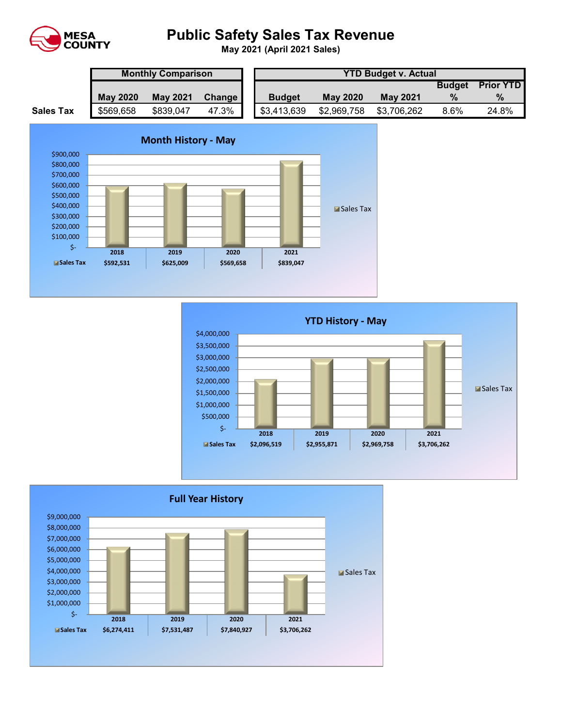

# **Public Safety Sales Tax Revenue**

**May 2021 (April 2021 Sales)** 

|                  | <b>Monthly Comparison</b> |                 |        |  | <b>YTD Budget v. Actual</b> |                 |                 |               |                  |  |  |  |
|------------------|---------------------------|-----------------|--------|--|-----------------------------|-----------------|-----------------|---------------|------------------|--|--|--|
|                  |                           |                 |        |  |                             |                 |                 | <b>Budget</b> | <b>Prior YTD</b> |  |  |  |
|                  | <b>May 2020</b>           | <b>May 2021</b> | Change |  | <b>Budget</b>               | <b>May 2020</b> | <b>May 2021</b> | $\%$          | $\%$             |  |  |  |
| <b>Sales Tax</b> | \$569,658                 | \$839,047       | 47.3%  |  | \$3,413,639                 | \$2,969,758     | \$3,706,262     | 8.6%          | 24.8%            |  |  |  |